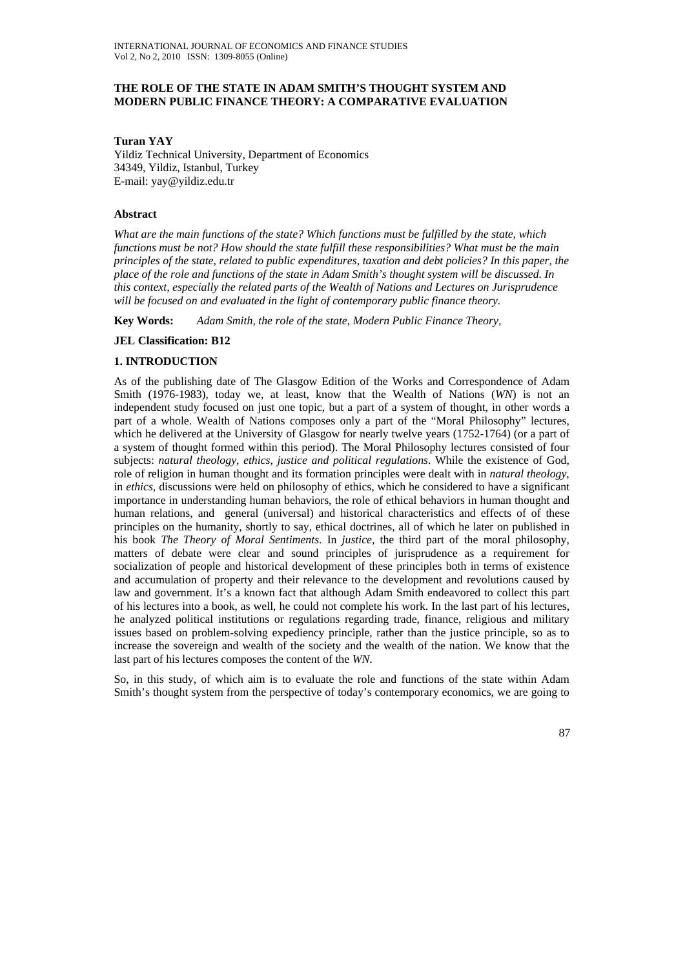### **THE ROLE OF THE STATE IN ADAM SMITH'S THOUGHT SYSTEM AND MODERN PUBLIC FINANCE THEORY: A COMPARATIVE EVALUATION**

**Turan YAY** 

Yildiz Technical University, Department of Economics 34349, Yildiz, Istanbul, Turkey E-mail: yay@yildiz.edu.tr

### **Abstract**

*What are the main functions of the state? Which functions must be fulfilled by the state, which functions must be not? How should the state fulfill these responsibilities? What must be the main principles of the state, related to public expenditures, taxation and debt policies? In this paper, the place of the role and functions of the state in Adam Smith's thought system will be discussed. In this context, especially the related parts of the Wealth of Nations and Lectures on Jurisprudence will be focused on and evaluated in the light of contemporary public finance theory.* 

**Key Words:** *Adam Smith, the role of the state, Modern Public Finance Theory,* 

### **JEL Classification: B12**

### **1. INTRODUCTION**

As of the publishing date of The Glasgow Edition of the Works and Correspondence of Adam Smith (1976-1983), today we, at least, know that the Wealth of Nations (*WN*) is not an independent study focused on just one topic, but a part of a system of thought, in other words a part of a whole. Wealth of Nations composes only a part of the "Moral Philosophy" lectures, which he delivered at the University of Glasgow for nearly twelve years (1752-1764) (or a part of a system of thought formed within this period). The Moral Philosophy lectures consisted of four subjects: *natural theology, ethics, justice and political regulations*. While the existence of God, role of religion in human thought and its formation principles were dealt with in *natural theology*, in *ethics*, discussions were held on philosophy of ethics, which he considered to have a significant importance in understanding human behaviors, the role of ethical behaviors in human thought and human relations, and general (universal) and historical characteristics and effects of of these principles on the humanity, shortly to say, ethical doctrines, all of which he later on published in his book *The Theory of Moral Sentiments*. In *justice*, the third part of the moral philosophy, matters of debate were clear and sound principles of jurisprudence as a requirement for socialization of people and historical development of these principles both in terms of existence and accumulation of property and their relevance to the development and revolutions caused by law and government. It's a known fact that although Adam Smith endeavored to collect this part of his lectures into a book, as well, he could not complete his work. In the last part of his lectures, he analyzed political institutions or regulations regarding trade, finance, religious and military issues based on problem-solving expediency principle, rather than the justice principle, so as to increase the sovereign and wealth of the society and the wealth of the nation. We know that the last part of his lectures composes the content of the *WN*.

So, in this study, of which aim is to evaluate the role and functions of the state within Adam Smith's thought system from the perspective of today's contemporary economics, we are going to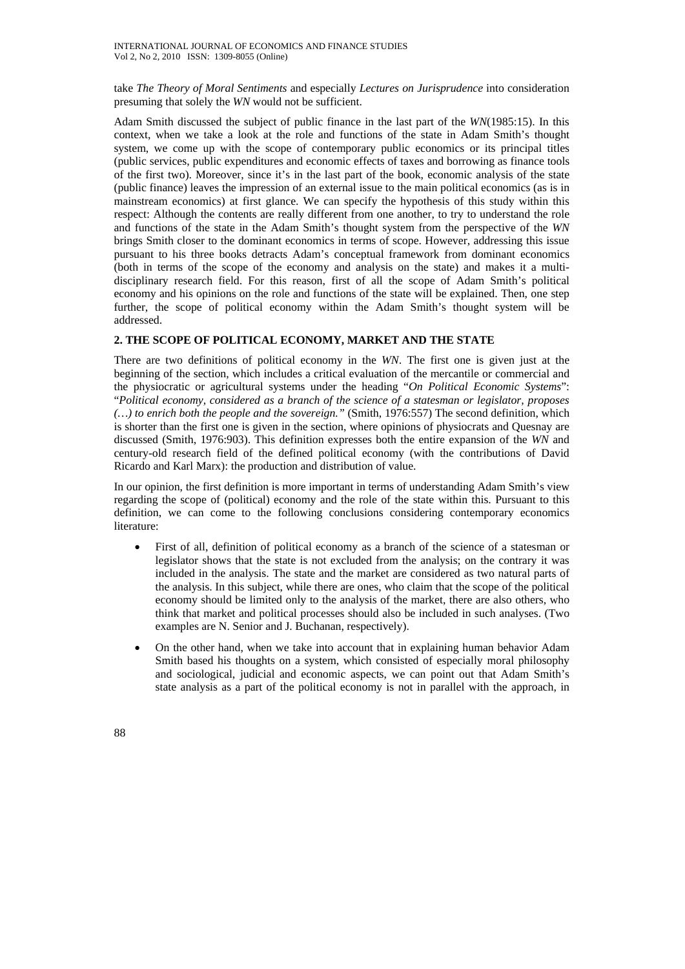take *The Theory of Moral Sentiments* and especially *Lectures on Jurisprudence* into consideration presuming that solely the *WN* would not be sufficient.

Adam Smith discussed the subject of public finance in the last part of the *WN*(1985:15). In this context, when we take a look at the role and functions of the state in Adam Smith's thought system, we come up with the scope of contemporary public economics or its principal titles (public services, public expenditures and economic effects of taxes and borrowing as finance tools of the first two). Moreover, since it's in the last part of the book, economic analysis of the state (public finance) leaves the impression of an external issue to the main political economics (as is in mainstream economics) at first glance. We can specify the hypothesis of this study within this respect: Although the contents are really different from one another, to try to understand the role and functions of the state in the Adam Smith's thought system from the perspective of the *WN* brings Smith closer to the dominant economics in terms of scope. However, addressing this issue pursuant to his three books detracts Adam's conceptual framework from dominant economics (both in terms of the scope of the economy and analysis on the state) and makes it a multidisciplinary research field. For this reason, first of all the scope of Adam Smith's political economy and his opinions on the role and functions of the state will be explained. Then, one step further, the scope of political economy within the Adam Smith's thought system will be addressed.

### **2. THE SCOPE OF POLITICAL ECONOMY, MARKET AND THE STATE**

There are two definitions of political economy in the *WN*. The first one is given just at the beginning of the section, which includes a critical evaluation of the mercantile or commercial and the physiocratic or agricultural systems under the heading "*On Political Economic Systems*": "*Political economy, considered as a branch of the science of a statesman or legislator, proposes (…) to enrich both the people and the sovereign."* (Smith, 1976:557) The second definition, which is shorter than the first one is given in the section, where opinions of physiocrats and Quesnay are discussed (Smith, 1976:903). This definition expresses both the entire expansion of the *WN* and century-old research field of the defined political economy (with the contributions of David Ricardo and Karl Marx): the production and distribution of value.

In our opinion, the first definition is more important in terms of understanding Adam Smith's view regarding the scope of (political) economy and the role of the state within this. Pursuant to this definition, we can come to the following conclusions considering contemporary economics literature:

- First of all, definition of political economy as a branch of the science of a statesman or legislator shows that the state is not excluded from the analysis; on the contrary it was included in the analysis. The state and the market are considered as two natural parts of the analysis. In this subject, while there are ones, who claim that the scope of the political economy should be limited only to the analysis of the market, there are also others, who think that market and political processes should also be included in such analyses. (Two examples are N. Senior and J. Buchanan, respectively).
- On the other hand, when we take into account that in explaining human behavior Adam Smith based his thoughts on a system, which consisted of especially moral philosophy and sociological, judicial and economic aspects, we can point out that Adam Smith's state analysis as a part of the political economy is not in parallel with the approach, in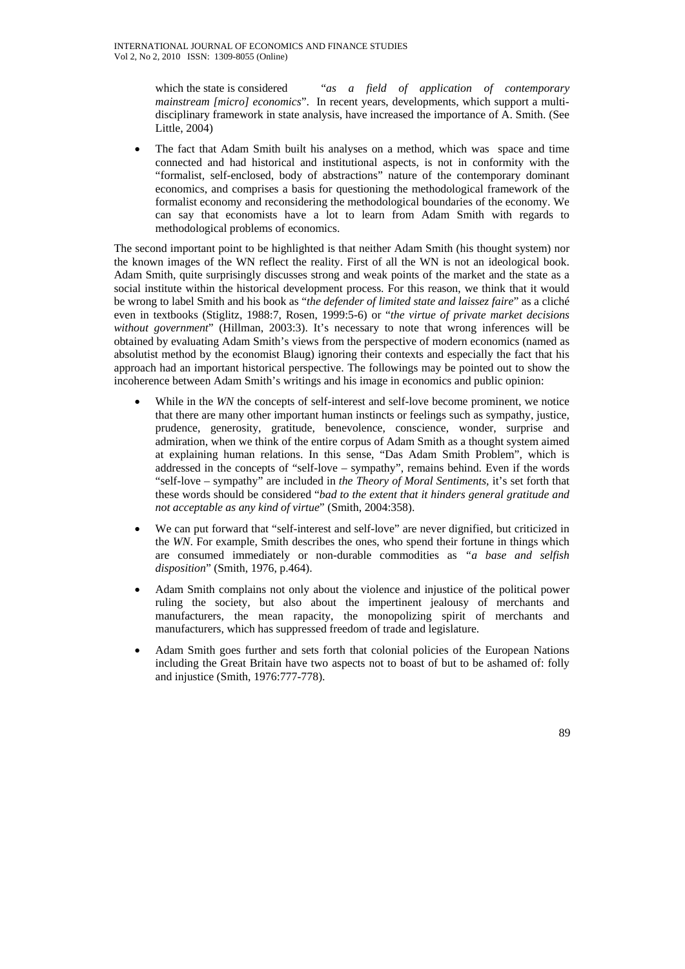which the state is considered "*as a field of application of contemporary mainstream [micro] economics*". In recent years, developments, which support a multidisciplinary framework in state analysis, have increased the importance of A. Smith. (See Little, 2004)

• The fact that Adam Smith built his analyses on a method, which was space and time connected and had historical and institutional aspects, is not in conformity with the "formalist, self-enclosed, body of abstractions" nature of the contemporary dominant economics, and comprises a basis for questioning the methodological framework of the formalist economy and reconsidering the methodological boundaries of the economy. We can say that economists have a lot to learn from Adam Smith with regards to methodological problems of economics.

The second important point to be highlighted is that neither Adam Smith (his thought system) nor the known images of the WN reflect the reality. First of all the WN is not an ideological book. Adam Smith, quite surprisingly discusses strong and weak points of the market and the state as a social institute within the historical development process. For this reason, we think that it would be wrong to label Smith and his book as "*the defender of limited state and laissez faire*" as a cliché even in textbooks (Stiglitz, 1988:7, Rosen, 1999:5-6) or "*the virtue of private market decisions*  without government" (Hillman, 2003:3). It's necessary to note that wrong inferences will be obtained by evaluating Adam Smith's views from the perspective of modern economics (named as absolutist method by the economist Blaug) ignoring their contexts and especially the fact that his approach had an important historical perspective. The followings may be pointed out to show the incoherence between Adam Smith's writings and his image in economics and public opinion:

- While in the *WN* the concepts of self-interest and self-love become prominent, we notice that there are many other important human instincts or feelings such as sympathy, justice, prudence, generosity, gratitude, benevolence, conscience, wonder, surprise and admiration, when we think of the entire corpus of Adam Smith as a thought system aimed at explaining human relations. In this sense, "Das Adam Smith Problem", which is addressed in the concepts of "self-love – sympathy", remains behind. Even if the words "self-love – sympathy" are included in *the Theory of Moral Sentiments,* it's set forth that these words should be considered "*bad to the extent that it hinders general gratitude and not acceptable as any kind of virtue*" (Smith, 2004:358).
- We can put forward that "self-interest and self-love" are never dignified, but criticized in the *WN*. For example, Smith describes the ones, who spend their fortune in things which are consumed immediately or non-durable commodities as *"a base and selfish disposition*" (Smith, 1976, p.464).
- Adam Smith complains not only about the violence and injustice of the political power ruling the society, but also about the impertinent jealousy of merchants and manufacturers, the mean rapacity, the monopolizing spirit of merchants and manufacturers, which has suppressed freedom of trade and legislature.
- Adam Smith goes further and sets forth that colonial policies of the European Nations including the Great Britain have two aspects not to boast of but to be ashamed of: folly and injustice (Smith, 1976:777-778).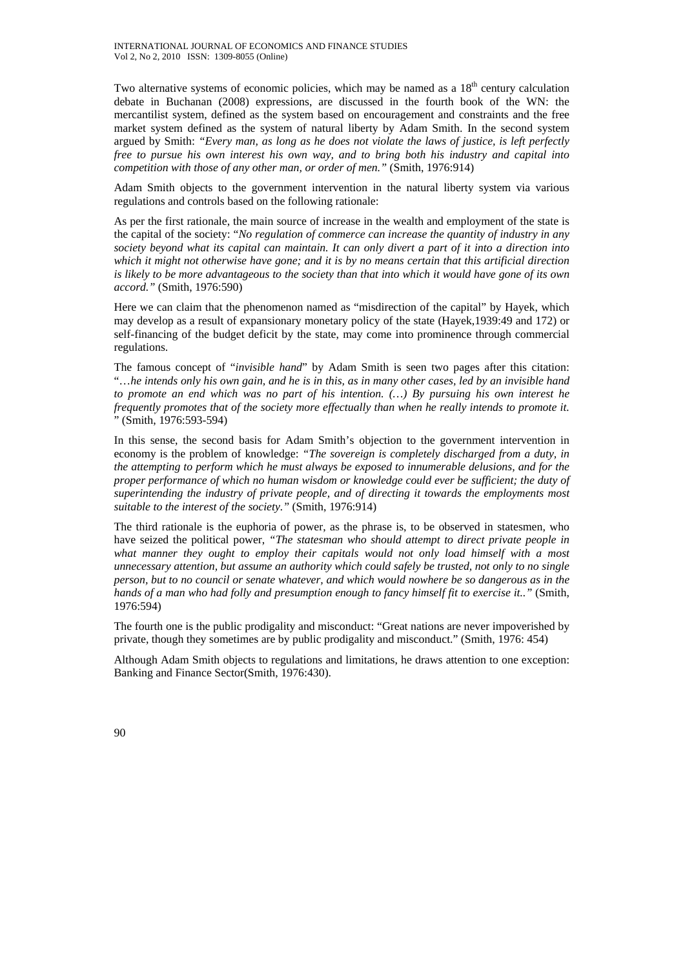Two alternative systems of economic policies, which may be named as a 18<sup>th</sup> century calculation debate in Buchanan (2008) expressions, are discussed in the fourth book of the WN: the mercantilist system, defined as the system based on encouragement and constraints and the free market system defined as the system of natural liberty by Adam Smith. In the second system argued by Smith: *"Every man, as long as he does not violate the laws of justice, is left perfectly free to pursue his own interest his own way, and to bring both his industry and capital into competition with those of any other man, or order of men."* (Smith, 1976:914)

Adam Smith objects to the government intervention in the natural liberty system via various regulations and controls based on the following rationale:

As per the first rationale, the main source of increase in the wealth and employment of the state is the capital of the society: "*No regulation of commerce can increase the quantity of industry in any society beyond what its capital can maintain. It can only divert a part of it into a direction into which it might not otherwise have gone; and it is by no means certain that this artificial direction is likely to be more advantageous to the society than that into which it would have gone of its own accord."* (Smith, 1976:590)

Here we can claim that the phenomenon named as "misdirection of the capital" by Hayek, which may develop as a result of expansionary monetary policy of the state (Hayek,1939:49 and 172) or self-financing of the budget deficit by the state, may come into prominence through commercial regulations.

The famous concept of "*invisible hand*" by Adam Smith is seen two pages after this citation: "…*he intends only his own gain, and he is in this, as in many other cases, led by an invisible hand to promote an end which was no part of his intention. (…) By pursuing his own interest he frequently promotes that of the society more effectually than when he really intends to promote it.* " (Smith, 1976:593-594)

In this sense, the second basis for Adam Smith's objection to the government intervention in economy is the problem of knowledge: *"The sovereign is completely discharged from a duty, in the attempting to perform which he must always be exposed to innumerable delusions, and for the proper performance of which no human wisdom or knowledge could ever be sufficient; the duty of superintending the industry of private people, and of directing it towards the employments most suitable to the interest of the society."* (Smith, 1976:914)

The third rationale is the euphoria of power, as the phrase is, to be observed in statesmen, who have seized the political power, *"The statesman who should attempt to direct private people in*  what manner they ought to employ their capitals would not only load himself with a most *unnecessary attention, but assume an authority which could safely be trusted, not only to no single person, but to no council or senate whatever, and which would nowhere be so dangerous as in the hands of a man who had folly and presumption enough to fancy himself fit to exercise it.."* (Smith, 1976:594)

The fourth one is the public prodigality and misconduct: "Great nations are never impoverished by private, though they sometimes are by public prodigality and misconduct." (Smith, 1976: 454)

Although Adam Smith objects to regulations and limitations, he draws attention to one exception: Banking and Finance Sector(Smith, 1976:430).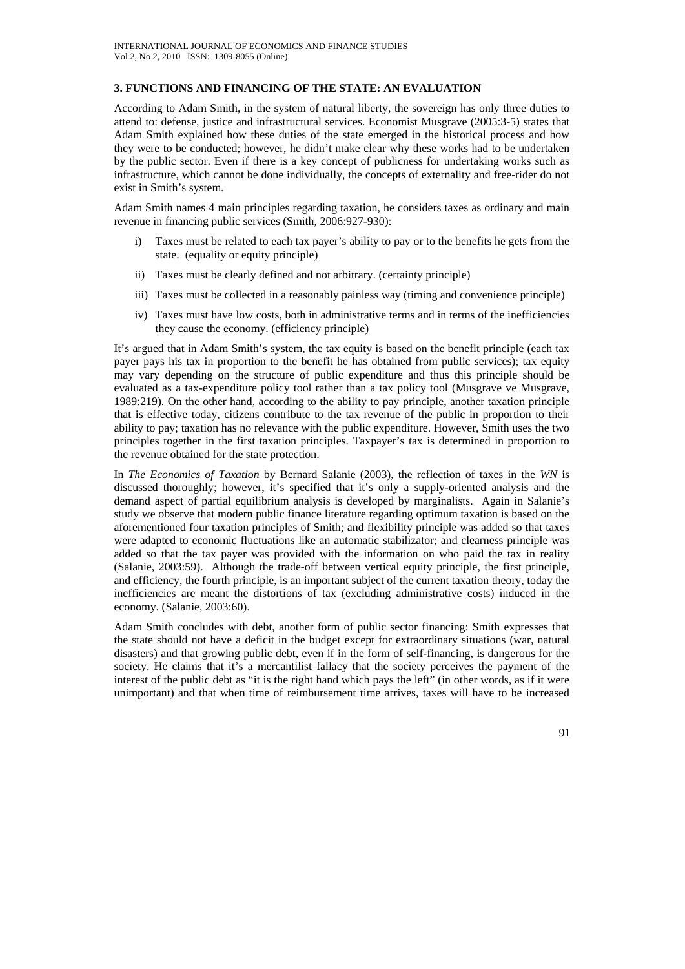#### **3. FUNCTIONS AND FINANCING OF THE STATE: AN EVALUATION**

According to Adam Smith, in the system of natural liberty, the sovereign has only three duties to attend to: defense, justice and infrastructural services. Economist Musgrave (2005:3-5) states that Adam Smith explained how these duties of the state emerged in the historical process and how they were to be conducted; however, he didn't make clear why these works had to be undertaken by the public sector. Even if there is a key concept of publicness for undertaking works such as infrastructure, which cannot be done individually, the concepts of externality and free-rider do not exist in Smith's system.

Adam Smith names 4 main principles regarding taxation, he considers taxes as ordinary and main revenue in financing public services (Smith, 2006:927-930):

- i) Taxes must be related to each tax payer's ability to pay or to the benefits he gets from the state. (equality or equity principle)
- ii) Taxes must be clearly defined and not arbitrary. (certainty principle)
- iii) Taxes must be collected in a reasonably painless way (timing and convenience principle)
- iv) Taxes must have low costs, both in administrative terms and in terms of the inefficiencies they cause the economy. (efficiency principle)

It's argued that in Adam Smith's system, the tax equity is based on the benefit principle (each tax payer pays his tax in proportion to the benefit he has obtained from public services); tax equity may vary depending on the structure of public expenditure and thus this principle should be evaluated as a tax-expenditure policy tool rather than a tax policy tool (Musgrave ve Musgrave, 1989:219). On the other hand, according to the ability to pay principle, another taxation principle that is effective today, citizens contribute to the tax revenue of the public in proportion to their ability to pay; taxation has no relevance with the public expenditure. However, Smith uses the two principles together in the first taxation principles. Taxpayer's tax is determined in proportion to the revenue obtained for the state protection.

In *The Economics of Taxation* by Bernard Salanie (2003), the reflection of taxes in the *WN* is discussed thoroughly; however, it's specified that it's only a supply-oriented analysis and the demand aspect of partial equilibrium analysis is developed by marginalists. Again in Salanie's study we observe that modern public finance literature regarding optimum taxation is based on the aforementioned four taxation principles of Smith; and flexibility principle was added so that taxes were adapted to economic fluctuations like an automatic stabilizator; and clearness principle was added so that the tax payer was provided with the information on who paid the tax in reality (Salanie, 2003:59). Although the trade-off between vertical equity principle, the first principle, and efficiency, the fourth principle, is an important subject of the current taxation theory, today the inefficiencies are meant the distortions of tax (excluding administrative costs) induced in the economy. (Salanie, 2003:60).

Adam Smith concludes with debt, another form of public sector financing: Smith expresses that the state should not have a deficit in the budget except for extraordinary situations (war, natural disasters) and that growing public debt, even if in the form of self-financing, is dangerous for the society. He claims that it's a mercantilist fallacy that the society perceives the payment of the interest of the public debt as "it is the right hand which pays the left" (in other words, as if it were unimportant) and that when time of reimbursement time arrives, taxes will have to be increased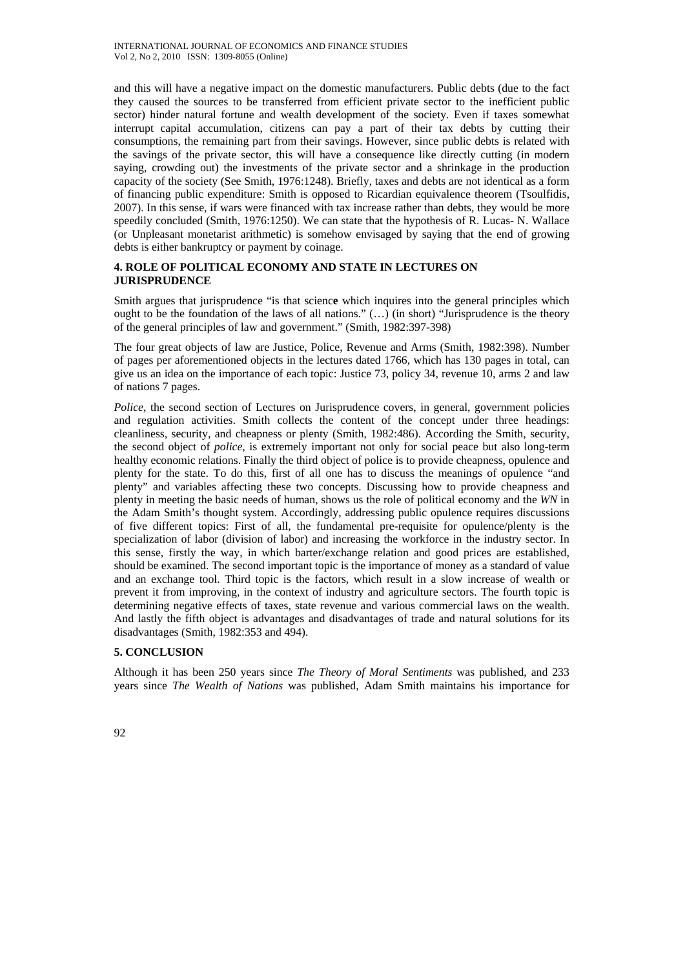and this will have a negative impact on the domestic manufacturers. Public debts (due to the fact they caused the sources to be transferred from efficient private sector to the inefficient public sector) hinder natural fortune and wealth development of the society. Even if taxes somewhat interrupt capital accumulation, citizens can pay a part of their tax debts by cutting their consumptions, the remaining part from their savings. However, since public debts is related with the savings of the private sector, this will have a consequence like directly cutting (in modern saying, crowding out) the investments of the private sector and a shrinkage in the production capacity of the society (See Smith, 1976:1248). Briefly, taxes and debts are not identical as a form of financing public expenditure: Smith is opposed to Ricardian equivalence theorem (Tsoulfidis, 2007). In this sense, if wars were financed with tax increase rather than debts, they would be more speedily concluded (Smith, 1976:1250). We can state that the hypothesis of R. Lucas- N. Wallace (or Unpleasant monetarist arithmetic) is somehow envisaged by saying that the end of growing debts is either bankruptcy or payment by coinage.

# **4. ROLE OF POLITICAL ECONOMY AND STATE IN LECTURES ON JURISPRUDENCE**

Smith argues that jurisprudence "is that scienc**e** which inquires into the general principles which ought to be the foundation of the laws of all nations."  $(...)$  (in short) "Jurisprudence is the theory of the general principles of law and government." (Smith, 1982:397-398)

The four great objects of law are Justice, Police, Revenue and Arms (Smith, 1982:398). Number of pages per aforementioned objects in the lectures dated 1766, which has 130 pages in total, can give us an idea on the importance of each topic: Justice 73, policy 34, revenue 10, arms 2 and law of nations 7 pages.

*Police*, the second section of Lectures on Jurisprudence covers, in general, government policies and regulation activities. Smith collects the content of the concept under three headings: cleanliness, security, and cheapness or plenty (Smith, 1982:486). According the Smith, security, the second object of *police*, is extremely important not only for social peace but also long-term healthy economic relations. Finally the third object of police is to provide cheapness, opulence and plenty for the state. To do this, first of all one has to discuss the meanings of opulence "and plenty" and variables affecting these two concepts. Discussing how to provide cheapness and plenty in meeting the basic needs of human, shows us the role of political economy and the *WN* in the Adam Smith's thought system. Accordingly, addressing public opulence requires discussions of five different topics: First of all, the fundamental pre-requisite for opulence/plenty is the specialization of labor (division of labor) and increasing the workforce in the industry sector. In this sense, firstly the way, in which barter/exchange relation and good prices are established, should be examined. The second important topic is the importance of money as a standard of value and an exchange tool. Third topic is the factors, which result in a slow increase of wealth or prevent it from improving, in the context of industry and agriculture sectors. The fourth topic is determining negative effects of taxes, state revenue and various commercial laws on the wealth. And lastly the fifth object is advantages and disadvantages of trade and natural solutions for its disadvantages (Smith, 1982:353 and 494).

## **5. CONCLUSION**

Although it has been 250 years since *The Theory of Moral Sentiments* was published, and 233 years since *The Wealth of Nations* was published, Adam Smith maintains his importance for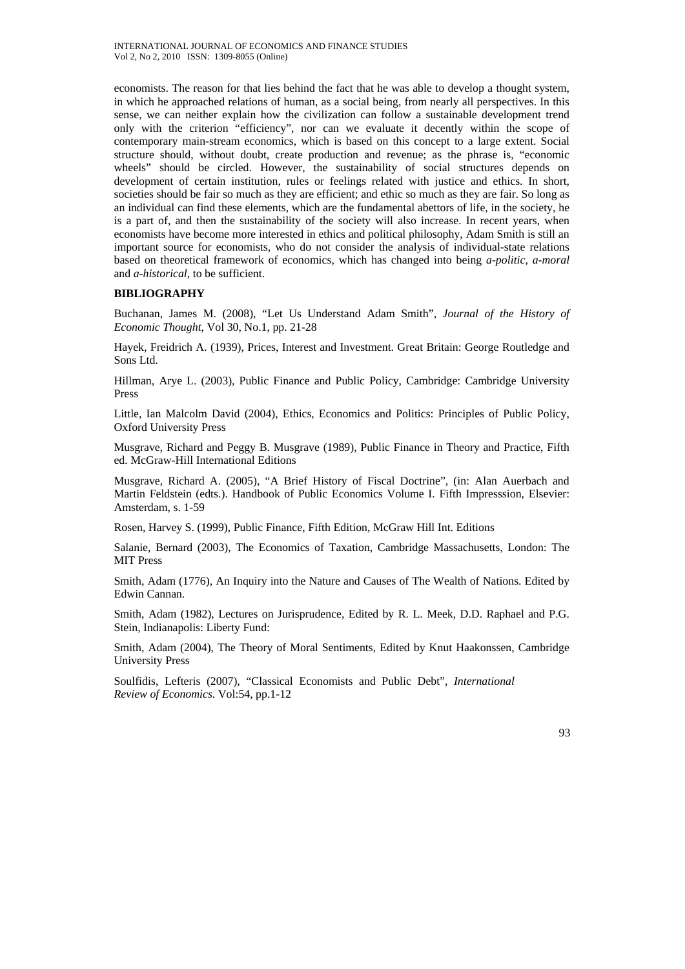economists. The reason for that lies behind the fact that he was able to develop a thought system, in which he approached relations of human, as a social being, from nearly all perspectives. In this sense, we can neither explain how the civilization can follow a sustainable development trend only with the criterion "efficiency", nor can we evaluate it decently within the scope of contemporary main-stream economics, which is based on this concept to a large extent. Social structure should, without doubt, create production and revenue; as the phrase is, "economic wheels" should be circled. However, the sustainability of social structures depends on development of certain institution, rules or feelings related with justice and ethics. In short, societies should be fair so much as they are efficient; and ethic so much as they are fair. So long as an individual can find these elements, which are the fundamental abettors of life, in the society, he is a part of, and then the sustainability of the society will also increase. In recent years, when economists have become more interested in ethics and political philosophy, Adam Smith is still an important source for economists, who do not consider the analysis of individual-state relations based on theoretical framework of economics, which has changed into being *a-politic, a-moral* and *a-historical*, to be sufficient.

#### **BIBLIOGRAPHY**

Buchanan, James M. (2008), "Let Us Understand Adam Smith", *Journal of the History of Economic Thought*, Vol 30, No.1, pp. 21-28

Hayek, Freidrich A. (1939), Prices, Interest and Investment. Great Britain: George Routledge and Sons Ltd.

Hillman, Arye L. (2003), Public Finance and Public Policy, Cambridge: Cambridge University Press

Little, Ian Malcolm David (2004), Ethics, Economics and Politics: Principles of Public Policy, Oxford University Press

Musgrave, Richard and Peggy B. Musgrave (1989), Public Finance in Theory and Practice, Fifth ed. McGraw-Hill International Editions

Musgrave, Richard A. (2005), "A Brief History of Fiscal Doctrine", (in: Alan Auerbach and Martin Feldstein (edts.). Handbook of Public Economics Volume I. Fifth Impresssion, Elsevier: Amsterdam, s. 1-59

Rosen, Harvey S. (1999), Public Finance, Fifth Edition, McGraw Hill Int. Editions

Salanie, Bernard (2003), The Economics of Taxation*,* Cambridge Massachusetts, London: The MIT Press

Smith, Adam (1776), An Inquiry into the Nature and Causes of The Wealth of Nations. Edited by Edwin Cannan.

Smith, Adam (1982), Lectures on Jurisprudence, Edited by R. L. Meek, D.D. Raphael and P.G. Stein, Indianapolis: Liberty Fund:

Smith, Adam (2004), The Theory of Moral Sentiments, Edited by Knut Haakonssen, Cambridge University Press

Soulfidis, Lefteris (2007), "Classical Economists and Public Debt", *International Review of Economics.* Vol:54, pp.1-12